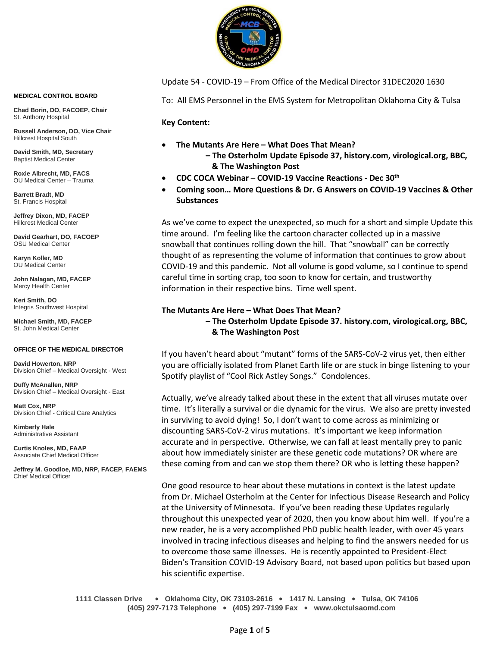

Update 54 - COVID-19 – From Office of the Medical Director 31DEC2020 1630

To: All EMS Personnel in the EMS System for Metropolitan Oklahoma City & Tulsa

**Key Content:**

- **The Mutants Are Here – What Does That Mean? – The Osterholm Update Episode 37, history.com, virological.org, BBC, & The Washington Post**
- **CDC COCA Webinar – COVID-19 Vaccine Reactions - Dec 30th**
- **Coming soon… More Questions & Dr. G Answers on COVID-19 Vaccines & Other Substances**

As we've come to expect the unexpected, so much for a short and simple Update this time around. I'm feeling like the cartoon character collected up in a massive snowball that continues rolling down the hill. That "snowball" can be correctly thought of as representing the volume of information that continues to grow about COVID-19 and this pandemic. Not all volume is good volume, so I continue to spend careful time in sorting crap, too soon to know for certain, and trustworthy information in their respective bins. Time well spent.

## **The Mutants Are Here – What Does That Mean? – The Osterholm Update Episode 37. history.com, virological.org, BBC, & The Washington Post**

If you haven't heard about "mutant" forms of the SARS-CoV-2 virus yet, then either you are officially isolated from Planet Earth life or are stuck in binge listening to your Spotify playlist of "Cool Rick Astley Songs." Condolences.

Actually, we've already talked about these in the extent that all viruses mutate over time. It's literally a survival or die dynamic for the virus. We also are pretty invested in surviving to avoid dying! So, I don't want to come across as minimizing or discounting SARS-CoV-2 virus mutations. It's important we keep information accurate and in perspective. Otherwise, we can fall at least mentally prey to panic about how immediately sinister are these genetic code mutations? OR where are these coming from and can we stop them there? OR who is letting these happen?

One good resource to hear about these mutations in context is the latest update from Dr. Michael Osterholm at the Center for Infectious Disease Research and Policy at the University of Minnesota. If you've been reading these Updates regularly throughout this unexpected year of 2020, then you know about him well. If you're a new reader, he is a very accomplished PhD public health leader, with over 45 years involved in tracing infectious diseases and helping to find the answers needed for us to overcome those same illnesses. He is recently appointed to President-Elect Biden's Transition COVID-19 Advisory Board, not based upon politics but based upon his scientific expertise.

**1111 Classen Drive** • **Oklahoma City, OK 73103-2616** • **1417 N. Lansing** • **Tulsa, OK 74106 (405) 297-7173 Telephone** • **(405) 297-7199 Fax** • **www.okctulsaomd.com**

#### **MEDICAL CONTROL BOARD**

**Chad Borin, DO, FACOEP, Chair**  St. Anthony Hospital

**Russell Anderson, DO, Vice Chair** Hillcrest Hospital South

**David Smith, MD, Secretary** Baptist Medical Center

**Roxie Albrecht, MD, FACS** OU Medical Center – Trauma

**Barrett Bradt, MD** St. Francis Hospital

**Jeffrey Dixon, MD, FACEP** Hillcrest Medical Center

**David Gearhart, DO, FACOEP** OSU Medical Center

**Karyn Koller, MD** OU Medical Center

**John Nalagan, MD, FACEP** Mercy Health Center

**Keri Smith, DO** Integris Southwest Hospital

**Michael Smith, MD, FACEP** St. John Medical Center

#### **OFFICE OF THE MEDICAL DIRECTOR**

**David Howerton, NRP** Division Chief – Medical Oversight - West

**Duffy McAnallen, NRP** Division Chief – Medical Oversight - East

**Matt Cox, NRP** Division Chief - Critical Care Analytics

**Kimberly Hale** Administrative Assistant

**Curtis Knoles, MD, FAAP** Associate Chief Medical Officer

**Jeffrey M. Goodloe, MD, NRP, FACEP, FAEMS** Chief Medical Officer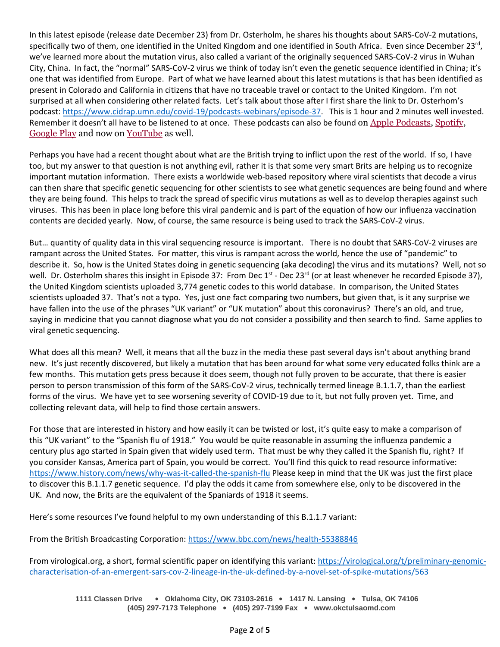In this latest episode (release date December 23) from Dr. Osterholm, he shares his thoughts about SARS-CoV-2 mutations, specifically two of them, one identified in the United Kingdom and one identified in South Africa. Even since December 23<sup>rd</sup>, we've learned more about the mutation virus, also called a variant of the originally sequenced SARS-CoV-2 virus in Wuhan City, China. In fact, the "normal" SARS-CoV-2 virus we think of today isn't even the genetic sequence identified in China; it's one that was identified from Europe. Part of what we have learned about this latest mutations is that has been identified as present in Colorado and California in citizens that have no traceable travel or contact to the United Kingdom. I'm not surprised at all when considering other related facts. Let's talk about those after I first share the link to Dr. Osterhom's podcast: [https://www.cidrap.umn.edu/covid-19/podcasts-webinars/episode-37.](https://www.cidrap.umn.edu/covid-19/podcasts-webinars/episode-37) This is 1 hour and 2 minutes well invested. Remember it doesn't all have to be listened to at once. These podcasts can also be found on [Apple Podcasts,](https://podcasts.apple.com/us/podcast/the-osterholm-update-covid-19/id1504360345) [Spotify,](https://open.spotify.com/show/0ymlroFYVlSAnoq0uqECGx) [Google Play](https://play.google.com/music/listen#/ps/I3fioaqqcke5hdct6rzyryvyysa) and now on [YouTube](https://www.youtube.com/c/OsterholmUpdateCOVID19) as well.

Perhaps you have had a recent thought about what are the British trying to inflict upon the rest of the world. If so, I have too, but my answer to that question is not anything evil, rather it is that some very smart Brits are helping us to recognize important mutation information. There exists a worldwide web-based repository where viral scientists that decode a virus can then share that specific genetic sequencing for other scientists to see what genetic sequences are being found and where they are being found. This helps to track the spread of specific virus mutations as well as to develop therapies against such viruses. This has been in place long before this viral pandemic and is part of the equation of how our influenza vaccination contents are decided yearly. Now, of course, the same resource is being used to track the SARS-CoV-2 virus.

But… quantity of quality data in this viral sequencing resource is important. There is no doubt that SARS-CoV-2 viruses are rampant across the United States. For matter, this virus is rampant across the world, hence the use of "pandemic" to describe it. So, how is the United States doing in genetic sequencing (aka decoding) the virus and its mutations? Well, not so well. Dr. Osterholm shares this insight in Episode 37: From Dec 1<sup>st</sup> - Dec 23<sup>rd</sup> (or at least whenever he recorded Episode 37), the United Kingdom scientists uploaded 3,774 genetic codes to this world database. In comparison, the United States scientists uploaded 37. That's not a typo. Yes, just one fact comparing two numbers, but given that, is it any surprise we have fallen into the use of the phrases "UK variant" or "UK mutation" about this coronavirus? There's an old, and true, saying in medicine that you cannot diagnose what you do not consider a possibility and then search to find. Same applies to viral genetic sequencing.

What does all this mean? Well, it means that all the buzz in the media these past several days isn't about anything brand new. It's just recently discovered, but likely a mutation that has been around for what some very educated folks think are a few months. This mutation gets press because it does seem, though not fully proven to be accurate, that there is easier person to person transmission of this form of the SARS-CoV-2 virus, technically termed lineage B.1.1.7, than the earliest forms of the virus. We have yet to see worsening severity of COVID-19 due to it, but not fully proven yet. Time, and collecting relevant data, will help to find those certain answers.

For those that are interested in history and how easily it can be twisted or lost, it's quite easy to make a comparison of this "UK variant" to the "Spanish flu of 1918." You would be quite reasonable in assuming the influenza pandemic a century plus ago started in Spain given that widely used term. That must be why they called it the Spanish flu, right? If you consider Kansas, America part of Spain, you would be correct. You'll find this quick to read resource informative: <https://www.history.com/news/why-was-it-called-the-spanish-flu> Please keep in mind that the UK was just the first place to discover this B.1.1.7 genetic sequence. I'd play the odds it came from somewhere else, only to be discovered in the UK. And now, the Brits are the equivalent of the Spaniards of 1918 it seems.

Here's some resources I've found helpful to my own understanding of this B.1.1.7 variant:

From the British Broadcasting Corporation[: https://www.bbc.com/news/health-55388846](https://www.bbc.com/news/health-55388846)

From virological.org, a short, formal scientific paper on identifying this variant: [https://virological.org/t/preliminary-genomic](https://virological.org/t/preliminary-genomic-characterisation-of-an-emergent-sars-cov-2-lineage-in-the-uk-defined-by-a-novel-set-of-spike-mutations/563)[characterisation-of-an-emergent-sars-cov-2-lineage-in-the-uk-defined-by-a-novel-set-of-spike-mutations/563](https://virological.org/t/preliminary-genomic-characterisation-of-an-emergent-sars-cov-2-lineage-in-the-uk-defined-by-a-novel-set-of-spike-mutations/563)

**1111 Classen Drive** • **Oklahoma City, OK 73103-2616** • **1417 N. Lansing** • **Tulsa, OK 74106 (405) 297-7173 Telephone** • **(405) 297-7199 Fax** • **www.okctulsaomd.com**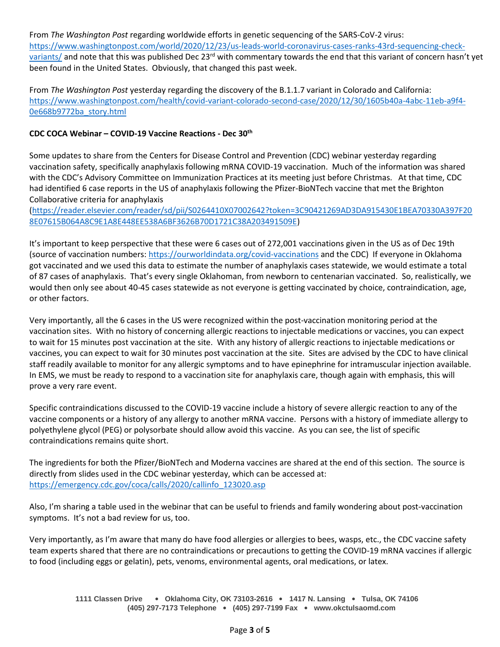From *The Washington Post* regarding worldwide efforts in genetic sequencing of the SARS-CoV-2 virus: [https://www.washingtonpost.com/world/2020/12/23/us-leads-world-coronavirus-cases-ranks-43rd-sequencing-check](https://www.washingtonpost.com/world/2020/12/23/us-leads-world-coronavirus-cases-ranks-43rd-sequencing-check-variants/)[variants/](https://www.washingtonpost.com/world/2020/12/23/us-leads-world-coronavirus-cases-ranks-43rd-sequencing-check-variants/) and note that this was published Dec 23<sup>rd</sup> with commentary towards the end that this variant of concern hasn't yet been found in the United States. Obviously, that changed this past week.

From *The Washington Post* yesterday regarding the discovery of the B.1.1.7 variant in Colorado and California: [https://www.washingtonpost.com/health/covid-variant-colorado-second-case/2020/12/30/1605b40a-4abc-11eb-a9f4-](https://www.washingtonpost.com/health/covid-variant-colorado-second-case/2020/12/30/1605b40a-4abc-11eb-a9f4-0e668b9772ba_story.html) [0e668b9772ba\\_story.html](https://www.washingtonpost.com/health/covid-variant-colorado-second-case/2020/12/30/1605b40a-4abc-11eb-a9f4-0e668b9772ba_story.html)

### **CDC COCA Webinar – COVID-19 Vaccine Reactions - Dec 30th**

Some updates to share from the Centers for Disease Control and Prevention (CDC) webinar yesterday regarding vaccination safety, specifically anaphylaxis following mRNA COVID-19 vaccination. Much of the information was shared with the CDC's Advisory Committee on Immunization Practices at its meeting just before Christmas. At that time, CDC had identified 6 case reports in the US of anaphylaxis following the Pfizer-BioNTech vaccine that met the Brighton Collaborative criteria for anaphylaxis

[\(https://reader.elsevier.com/reader/sd/pii/S0264410X07002642?token=3C90421269AD3DA915430E1BEA70330A397F20](https://reader.elsevier.com/reader/sd/pii/S0264410X07002642?token=3C90421269AD3DA915430E1BEA70330A397F208E07615B064A8C9E1A8E448EE538A6BF3626B70D1721C38A203491509E) [8E07615B064A8C9E1A8E448EE538A6BF3626B70D1721C38A203491509E\)](https://reader.elsevier.com/reader/sd/pii/S0264410X07002642?token=3C90421269AD3DA915430E1BEA70330A397F208E07615B064A8C9E1A8E448EE538A6BF3626B70D1721C38A203491509E)

It's important to keep perspective that these were 6 cases out of 272,001 vaccinations given in the US as of Dec 19th (source of vaccination numbers: <https://ourworldindata.org/covid-vaccinations> and the CDC) If everyone in Oklahoma got vaccinated and we used this data to estimate the number of anaphylaxis cases statewide, we would estimate a total of 87 cases of anaphylaxis. That's every single Oklahoman, from newborn to centenarian vaccinated. So, realistically, we would then only see about 40-45 cases statewide as not everyone is getting vaccinated by choice, contraindication, age, or other factors.

Very importantly, all the 6 cases in the US were recognized within the post-vaccination monitoring period at the vaccination sites. With no history of concerning allergic reactions to injectable medications or vaccines, you can expect to wait for 15 minutes post vaccination at the site. With any history of allergic reactions to injectable medications or vaccines, you can expect to wait for 30 minutes post vaccination at the site. Sites are advised by the CDC to have clinical staff readily available to monitor for any allergic symptoms and to have epinephrine for intramuscular injection available. In EMS, we must be ready to respond to a vaccination site for anaphylaxis care, though again with emphasis, this will prove a very rare event.

Specific contraindications discussed to the COVID-19 vaccine include a history of severe allergic reaction to any of the vaccine components or a history of any allergy to another mRNA vaccine. Persons with a history of immediate allergy to polyethylene glycol (PEG) or polysorbate should allow avoid this vaccine. As you can see, the list of specific contraindications remains quite short.

The ingredients for both the Pfizer/BioNTech and Moderna vaccines are shared at the end of this section. The source is directly from slides used in the CDC webinar yesterday, which can be accessed at: [https://emergency.cdc.gov/coca/calls/2020/callinfo\\_123020.asp](https://emergency.cdc.gov/coca/calls/2020/callinfo_123020.asp)

Also, I'm sharing a table used in the webinar that can be useful to friends and family wondering about post-vaccination symptoms. It's not a bad review for us, too.

Very importantly, as I'm aware that many do have food allergies or allergies to bees, wasps, etc., the CDC vaccine safety team experts shared that there are no contraindications or precautions to getting the COVID-19 mRNA vaccines if allergic to food (including eggs or gelatin), pets, venoms, environmental agents, oral medications, or latex.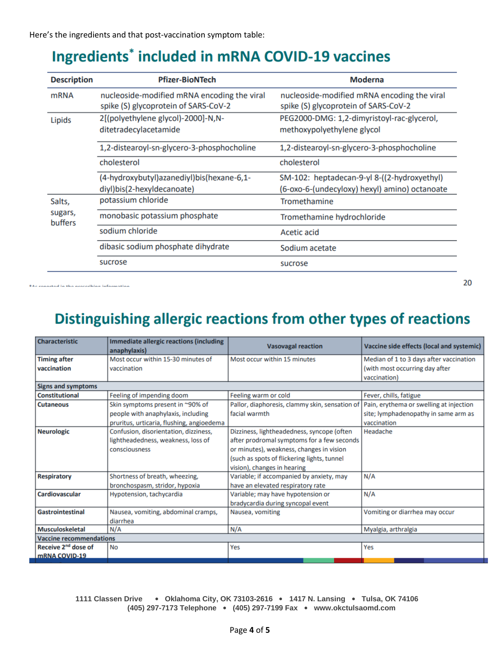# **Ingredients<sup>\*</sup> included in mRNA COVID-19 vaccines**

| <b>Description</b>           | <b>Pfizer-BioNTech</b>                                                              | <b>Moderna</b>                                                                               |  |
|------------------------------|-------------------------------------------------------------------------------------|----------------------------------------------------------------------------------------------|--|
| <b>mRNA</b>                  | nucleoside-modified mRNA encoding the viral<br>spike (S) glycoprotein of SARS-CoV-2 | nucleoside-modified mRNA encoding the viral<br>spike (S) glycoprotein of SARS-CoV-2          |  |
| Lipids                       | 2[(polyethylene glycol)-2000]-N,N-<br>ditetradecylacetamide                         | PEG2000-DMG: 1,2-dimyristoyl-rac-glycerol,<br>methoxypolyethylene glycol                     |  |
|                              | 1,2-distearoyl-sn-glycero-3-phosphocholine                                          | 1,2-distearoyl-sn-glycero-3-phosphocholine                                                   |  |
|                              | cholesterol                                                                         | cholesterol                                                                                  |  |
|                              | (4-hydroxybutyl)azanediyl)bis(hexane-6,1-<br>diyl)bis(2-hexyldecanoate)             | SM-102: heptadecan-9-yl 8-((2-hydroxyethyl)<br>(6-oxo-6-(undecyloxy) hexyl) amino) octanoate |  |
| Salts,<br>sugars,<br>buffers | potassium chloride                                                                  | Tromethamine                                                                                 |  |
|                              | monobasic potassium phosphate                                                       | Tromethamine hydrochloride                                                                   |  |
|                              | sodium chloride                                                                     | <b>Acetic acid</b>                                                                           |  |
|                              | dibasic sodium phosphate dihydrate                                                  | Sodium acetate                                                                               |  |
|                              | sucrose                                                                             | sucrose                                                                                      |  |

\*Ac ennoteed in the necessibles information

## Distinguishing allergic reactions from other types of reactions

|                                 | anaphylaxis)                              | <b>Vasovagal reaction</b>                      | Vaccine side effects (local and systemic) |  |
|---------------------------------|-------------------------------------------|------------------------------------------------|-------------------------------------------|--|
| <b>Timing after</b>             | Most occur within 15-30 minutes of        | Most occur within 15 minutes                   | Median of 1 to 3 days after vaccination   |  |
| vaccination                     | vaccination                               |                                                | (with most occurring day after            |  |
|                                 |                                           |                                                | vaccination)                              |  |
| <b>Signs and symptoms</b>       |                                           |                                                |                                           |  |
| <b>Constitutional</b>           | Feeling of impending doom                 | Feeling warm or cold                           | Fever, chills, fatigue                    |  |
| <b>Cutaneous</b>                | Skin symptoms present in ~90% of          | Pallor, diaphoresis, clammy skin, sensation of | Pain, erythema or swelling at injection   |  |
|                                 | people with anaphylaxis, including        | facial warmth                                  | site; lymphadenopathy in same arm as      |  |
|                                 | pruritus, urticaria, flushing, angioedema |                                                | vaccination                               |  |
| <b>Neurologic</b>               | Confusion, disorientation, dizziness,     | Dizziness, lightheadedness, syncope (often     | Headache                                  |  |
|                                 | lightheadedness, weakness, loss of        | after prodromal symptoms for a few seconds     |                                           |  |
|                                 | consciousness                             | or minutes), weakness, changes in vision       |                                           |  |
|                                 |                                           | (such as spots of flickering lights, tunnel    |                                           |  |
|                                 |                                           | vision), changes in hearing                    |                                           |  |
| <b>Respiratory</b>              | Shortness of breath, wheezing,            | Variable; if accompanied by anxiety, may       | N/A                                       |  |
|                                 | bronchospasm, stridor, hypoxia            | have an elevated respiratory rate              |                                           |  |
| Cardiovascular                  | Hypotension, tachycardia                  | Variable; may have hypotension or              | N/A                                       |  |
|                                 |                                           | bradycardia during syncopal event              |                                           |  |
| <b>Gastrointestinal</b>         | Nausea, vomiting, abdominal cramps,       | Nausea, vomiting                               | Vomiting or diarrhea may occur            |  |
|                                 | diarrhea                                  |                                                |                                           |  |
| <b>Musculoskeletal</b>          | N/A                                       | N/A                                            | Myalgia, arthralgia                       |  |
| <b>Vaccine recommendations</b>  |                                           |                                                |                                           |  |
| Receive 2 <sup>nd</sup> dose of | <b>No</b>                                 | Yes                                            | Yes                                       |  |
| mRNA COVID-19                   |                                           |                                                |                                           |  |

**1111 Classen Drive** • **Oklahoma City, OK 73103-2616** • **1417 N. Lansing** • **Tulsa, OK 74106 (405) 297-7173 Telephone** • **(405) 297-7199 Fax** • **www.okctulsaomd.com**

20